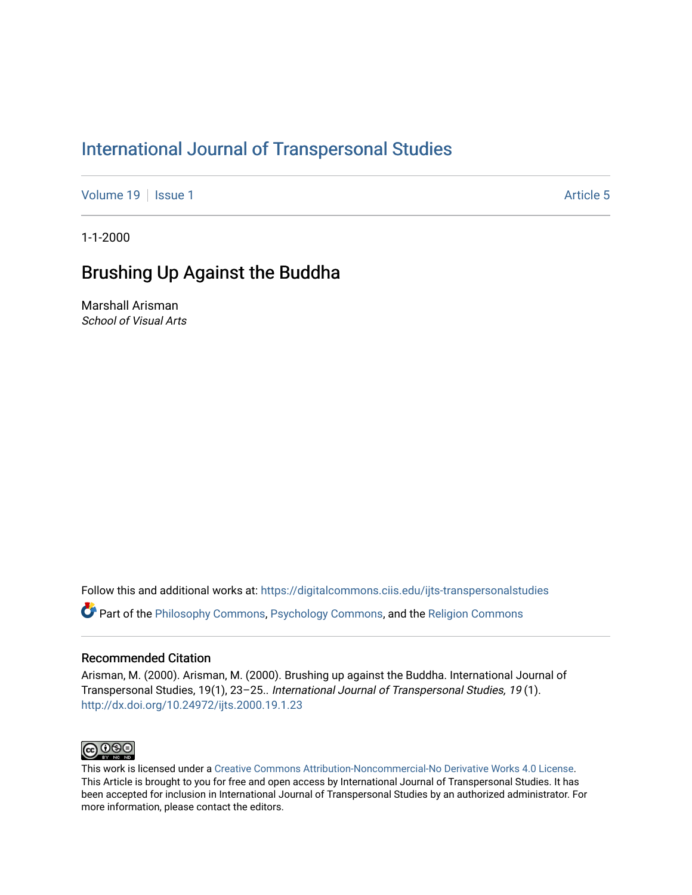## [International Journal of Transpersonal Studies](https://digitalcommons.ciis.edu/ijts-transpersonalstudies)

[Volume 19](https://digitalcommons.ciis.edu/ijts-transpersonalstudies/vol19) | [Issue 1](https://digitalcommons.ciis.edu/ijts-transpersonalstudies/vol19/iss1) Article 5

1-1-2000

### Brushing Up Against the Buddha

Marshall Arisman School of Visual Arts

Follow this and additional works at: [https://digitalcommons.ciis.edu/ijts-transpersonalstudies](https://digitalcommons.ciis.edu/ijts-transpersonalstudies?utm_source=digitalcommons.ciis.edu%2Fijts-transpersonalstudies%2Fvol19%2Fiss1%2F5&utm_medium=PDF&utm_campaign=PDFCoverPages) 

Part of the [Philosophy Commons,](http://network.bepress.com/hgg/discipline/525?utm_source=digitalcommons.ciis.edu%2Fijts-transpersonalstudies%2Fvol19%2Fiss1%2F5&utm_medium=PDF&utm_campaign=PDFCoverPages) [Psychology Commons,](http://network.bepress.com/hgg/discipline/404?utm_source=digitalcommons.ciis.edu%2Fijts-transpersonalstudies%2Fvol19%2Fiss1%2F5&utm_medium=PDF&utm_campaign=PDFCoverPages) and the [Religion Commons](http://network.bepress.com/hgg/discipline/538?utm_source=digitalcommons.ciis.edu%2Fijts-transpersonalstudies%2Fvol19%2Fiss1%2F5&utm_medium=PDF&utm_campaign=PDFCoverPages)

#### Recommended Citation

Arisman, M. (2000). Arisman, M. (2000). Brushing up against the Buddha. International Journal of Transpersonal Studies, 19(1), 23–25.. International Journal of Transpersonal Studies, 19 (1). <http://dx.doi.org/10.24972/ijts.2000.19.1.23>



This work is licensed under a [Creative Commons Attribution-Noncommercial-No Derivative Works 4.0 License.](https://creativecommons.org/licenses/by-nc-nd/4.0/) This Article is brought to you for free and open access by International Journal of Transpersonal Studies. It has been accepted for inclusion in International Journal of Transpersonal Studies by an authorized administrator. For more information, please contact the editors.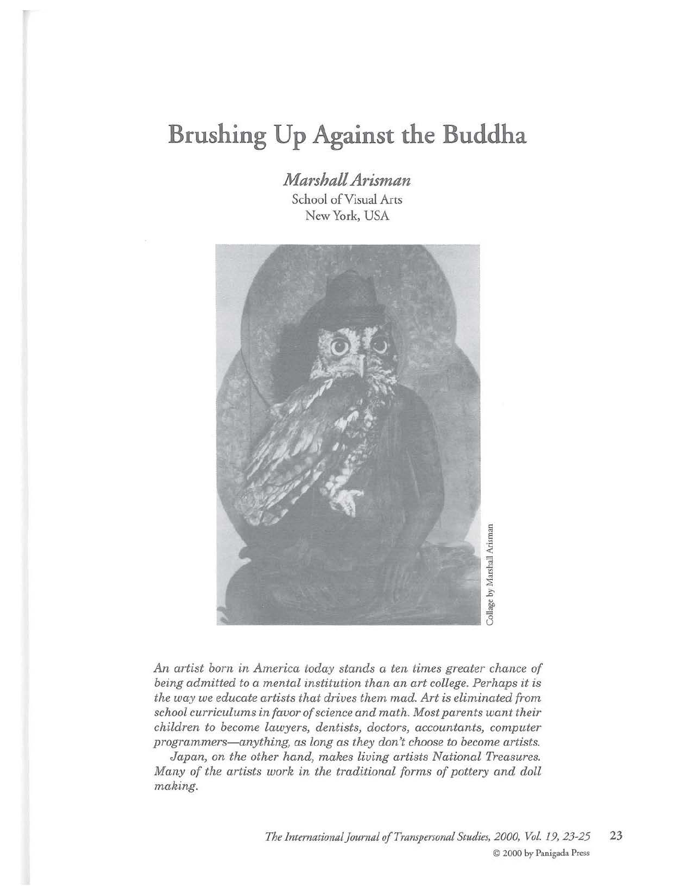# **Brushing Up Against the Buddha**

*Marshall Arisman*  School of Visual Arts New York, USA



*An artist born in America today stands a ten times greater chance of being admitted to a mental institution than an art college. Perhaps it is the way we educate artists that drives them mad. Art is eliminated from school curriculums in favor of science and math. Most parents want their children to become lawyers, dentists, doctors, accountants, computer programmers-anything, as long as they don't choose to become artists.* 

*Japan, on the other hand, makes living artists National Treasures. Many of the artists work in the traditional forms of pottery and doll making.*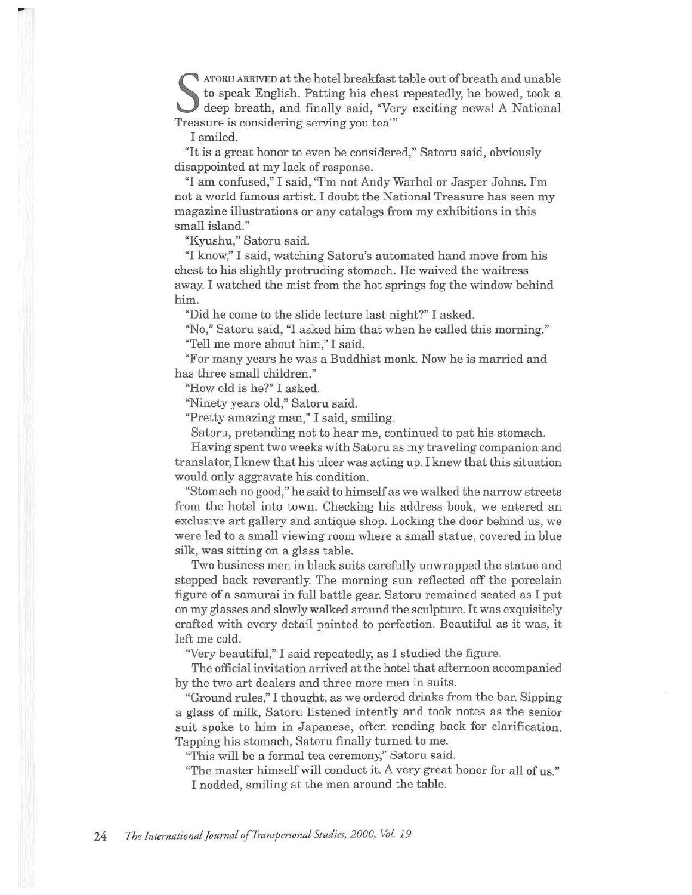S ATORU ARRIVED at the hotel breakfast table out of breath and unable<br>to speak English. Patting his chest repeatedly, he bowed, took a<br>deep breath, and finally said, "Very exciting news! A National<br>Treasure is considering to speak English. Patting his chest repeatedly, he bowed, took a deep breath, and finally said, "Very exciting news! A National Treasure is considering serving you tea!"

I smiled.

"It is a great honor to even be considered," Satoru said, obviously disappointed at my lack of response.

"I am confused," I said, "I'm not Andy Warhol or Jasper Johns. I'm not a world famous artist. I doubt the National Treasure has seen my magazine illustrations or any catalogs from my exhibitions in this small island."

"Kyushu," Satoru said.

"I know," I said, watching Satoru's automated hand move from his chest to his slightly protruding stomach. He waived the waitress away. I watched the mist from the hot springs fog the window behind him.

"Did he come to the slide lecture last night?" I asked.

''No," Satoru said, "I asked him that when he called this morning." "Tell me more about him," I said.

"For many years he was a Buddhist monk. Now he is married and has three small children."

"How old is he?" I asked.

"Ninety years old," Satoru said.

"Pretty amazing man," I said, smiling.

Satoru, pretending not to hear me, continued to pat his stomach.

Having spent two weeks with Satoru as my traveling companion and translator, I knew that his ulcer was acting up. I knew that this situation would only aggravate his condition.

"Stomach no good," he said to himself as we walked the narrow streets from the hotel into town. Checking his address book, we entered an exclusive art gallery and antique shop. Locking the door behind us, we were led to a small viewing room where a small statue, covered in blue silk, was sitting on a glass table.

Two business men in black suits carefully unwrapped the statue and stepped back reverently. The morning sun reflected off the porcelain figure of a samurai in full battle gear. Satoru remained seated as I put on my glasses and slowly walked around the sculpture. It was exquisitely crafted with every detail painted to perfection. Beautiful as it was, it left me cold.

''Very beautiful," I said repeatedly, as I studied the figure.

The official invitation arrived at the hotel that afternoon accompanied by the two art dealers and three more men in suits.

"Ground rules," I thought, as we ordered drinks from the bar. Sipping a glass of milk, Satoru listened intently and took notes as the senior suit spoke to him in Japanese, often reading back for clarification. Tapping his stomach, Satoru finally turned to me.

"This will be a formal tea ceremony," Satoru said.

"The master himself will conduct it. A very great honor for all of us." I nodded, smiling at the men around the table.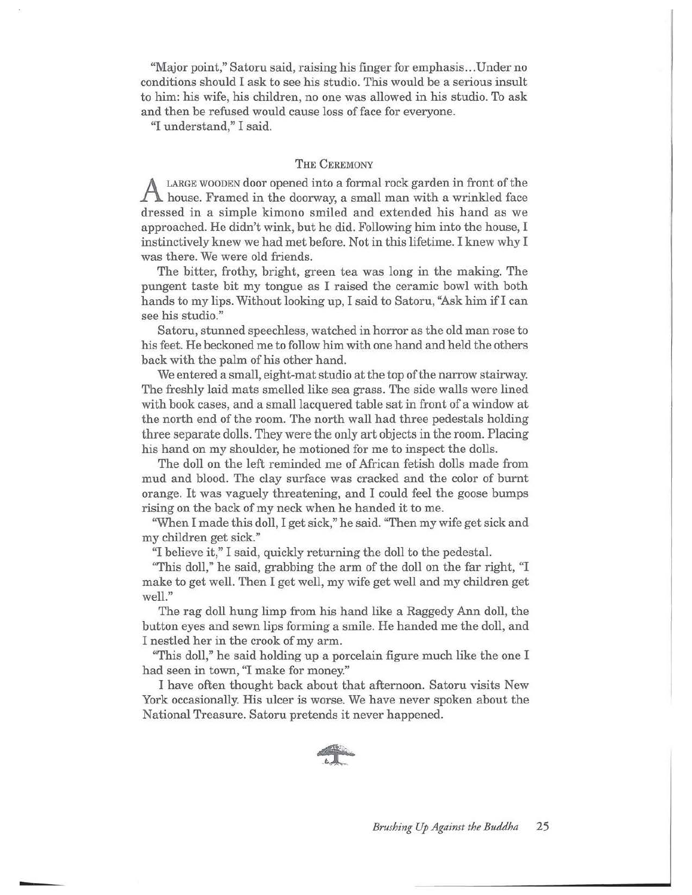"Major point," Satoru said, raising his finger for emphasis ... Under no conditions should I ask to see his studio. This would be a serious insult to him: his wife, his children, no one was allowed in his studio. To ask and then be refused would cause loss of face for everyone.

"I understand," I said.

#### THE CEREMONY

A LARGE WOODEN door opened into a formal rock garden in front of the house. Framed in the doorway, a small man with a wrinkled face dressed in a simple kimono smiled and extended his hand as we approached. He didn't wink, but he did. Following him into the house, I instinctively knew we had met before. Not in this lifetime. I knew why I was there. We were old friends.

The bitter, frothy, bright, green tea was long in the making. The pungent taste bit my tongue as I raised the ceramic bowl with both hands to my lips. Without looking up, I said to Satoru, "Ask him if I can see his studio."

Satoru, stunned speechless, watched in horror as the old man rose to his feet. He beckoned me to follow him with one hand and held the others back with the palm of his other hand.

We entered a small, eight-mat studio at the top of the narrow stairway. The freshly laid mats smelled like sea grass. The side walls were lined with book cases, and a small lacquered table sat in front of a window at the north end of the room. The north wall had three pedestals holding three separate dolls. They were the only art objects in the room. Placing his hand on my shoulder, he motioned for me to inspect the dolls.

The doll on the left reminded me of African fetish dolls made from mud and blood. The clay surface was cracked and the color of burnt orange. It was vaguely threatening, and I could feel the goose bumps rising on the back of my neck when he handed it to me.

"When I made this doll, I get sick," he said. "Then my wife get sick and my children get sick."

''I believe it," I said, quickly returning the doll to the pedestal.

"This doll," he said, grabbing the arm of the doll on the far right, "I make to get well. Then I get well, my wife get well and my children get well."

The rag doll hung limp from his hand like a Raggedy Ann doll, the button eyes and sewn lips forming a smile. He handed me the doll, and I nestled her in the crook of my arm.

"This doll," he said holding up a porcelain figure much like the one I had seen in town, "I make for money."

I have often thought back about that afternoon. Satoru visits New York occasionally. His ulcer is worse. We have never spoken about the National Treasure. Satoru pretends it never happened.